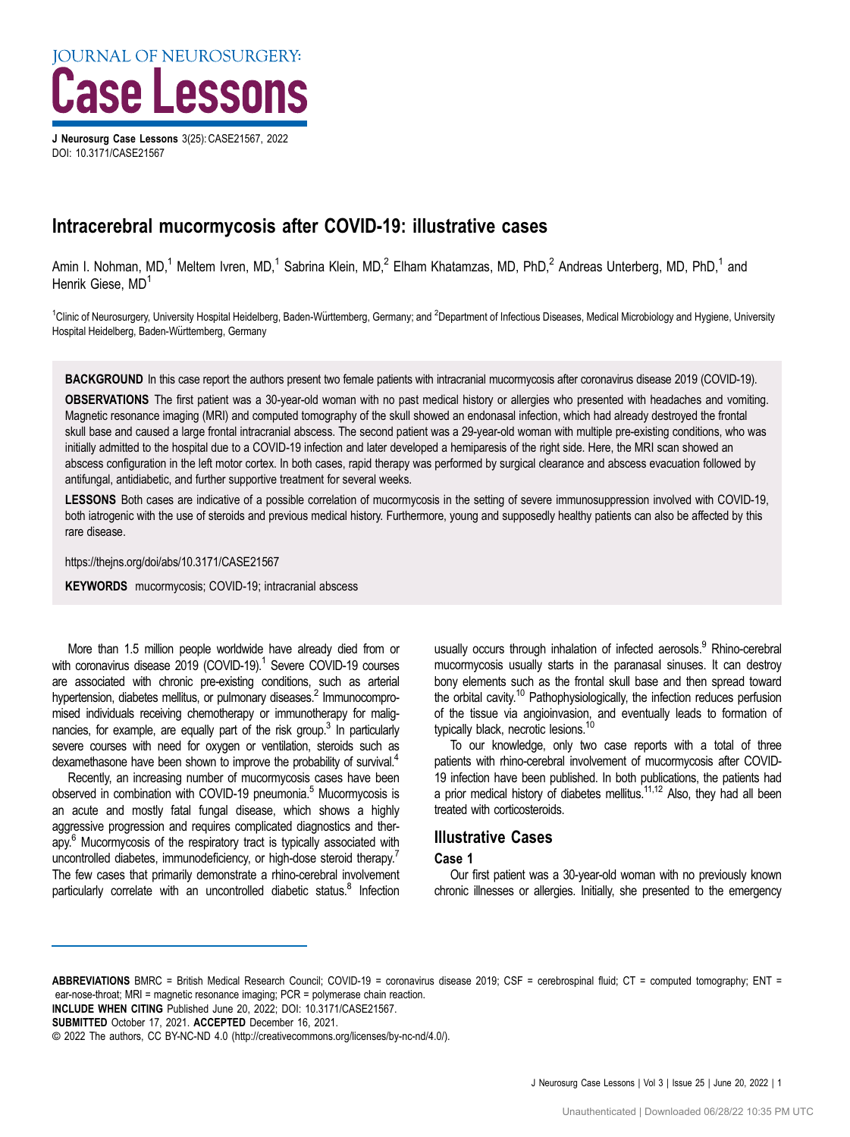J Neurosurg Case Lessons 3(25): CASE21567, 2022 DOI: [10.3171/CASE21567](https://doi.org/10.3171/CASE21567)

# Intracerebral mucormycosis after COVID-19: illustrative cases

Amin I. Nohman, MD,<sup>1</sup> Meltem Ivren, MD,<sup>1</sup> Sabrina Klein, MD,<sup>2</sup> Elham Khatamzas, MD, PhD,<sup>2</sup> Andreas Unterberg, MD, PhD,<sup>1</sup> and Henrik Giese, MD<sup>1</sup>

<sup>1</sup>Clinic of Neurosurgery, University Hospital Heidelberg, Baden-Württemberg, Germany; and <sup>2</sup>Department of Infectious Diseases, Medical Microbiology and Hygiene, University Hospital Heidelberg, Baden-Württemberg, Germany

BACKGROUND In this case report the authors present two female patients with intracranial mucormycosis after coronavirus disease 2019 (COVID-19).

OBSERVATIONS The first patient was a 30-year-old woman with no past medical history or allergies who presented with headaches and vomiting. Magnetic resonance imaging (MRI) and computed tomography of the skull showed an endonasal infection, which had already destroyed the frontal skull base and caused a large frontal intracranial abscess. The second patient was a 29-year-old woman with multiple pre-existing conditions, who was initially admitted to the hospital due to a COVID-19 infection and later developed a hemiparesis of the right side. Here, the MRI scan showed an abscess configuration in the left motor cortex. In both cases, rapid therapy was performed by surgical clearance and abscess evacuation followed by antifungal, antidiabetic, and further supportive treatment for several weeks.

LESSONS Both cases are indicative of a possible correlation of mucormycosis in the setting of severe immunosuppression involved with COVID-19, both iatrogenic with the use of steroids and previous medical history. Furthermore, young and supposedly healthy patients can also be affected by this rare disease.

https://thejns.org/doi/abs/10.3171/CASE21567

KEYWORDS mucormycosis; COVID-19; intracranial abscess

More than 1.5 million people worldwide have already died from or with coronavirus disease 2019 (COVID-19).<sup>1</sup> Severe COVID-19 courses are associated with chronic pre-existing conditions, such as arterial hypertension, diabetes mellitus, or pulmonary diseases.<sup>2</sup> Immunocompromised individuals receiving chemotherapy or immunotherapy for malig-nancies, for example, are equally part of the risk group.<sup>[3](#page-4-0)</sup> In particularly severe courses with need for oxygen or ventilation, steroids such as dexamethasone have been shown to improve the probability of survival.<sup>4</sup>

Recently, an increasing number of mucormycosis cases have been observed in combination with COVID-19 pneumonia.<sup>5</sup> Mucormycosis is an acute and mostly fatal fungal disease, which shows a highly aggressive progression and requires complicated diagnostics and therapy[.6](#page-4-0) Mucormycosis of the respiratory tract is typically associated with uncontrolled diabetes, immunodeficiency, or high-dose steroid therapy.<sup>[7](#page-4-0)</sup> The few cases that primarily demonstrate a rhino-cerebral involvement particularly correlate with an uncontrolled diabetic status. $8$  Infection usually occurs through inhalation of infected aerosols.<sup>9</sup> Rhino-cerebral mucormycosis usually starts in the paranasal sinuses. It can destroy bony elements such as the frontal skull base and then spread toward the orbital cavity.<sup>10</sup> Pathophysiologically, the infection reduces perfusion of the tissue via angioinvasion, and eventually leads to formation of typically black, necrotic lesions.<sup>10</sup>

To our knowledge, only two case reports with a total of three patients with rhino-cerebral involvement of mucormycosis after COVID-19 infection have been published. In both publications, the patients had a prior medical history of diabetes mellitus.<sup>11,12</sup> Also, they had all been treated with corticosteroids.

# Illustrative Cases

#### Case 1

Our first patient was a 30-year-old woman with no previously known chronic illnesses or allergies. Initially, she presented to the emergency

ABBREVIATIONS BMRC = British Medical Research Council; COVID-19 = coronavirus disease 2019; CSF = cerebrospinal fluid; CT = computed tomography; ENT = ear-nose-throat; MRI = magnetic resonance imaging; PCR = polymerase chain reaction.

INCLUDE WHEN CITING Published June 20, 2022; DOI: 10.3171/CASE21567.

SUBMITTED October 17, 2021. ACCEPTED December 16, 2021.

<sup>©</sup> 2022 The authors, CC BY-NC-ND 4.0 ([http://creativecommons.org/licenses/by-nc-nd/4.0/\)](https://creativecommons.org/licenses/by-nc-nd/4.0/).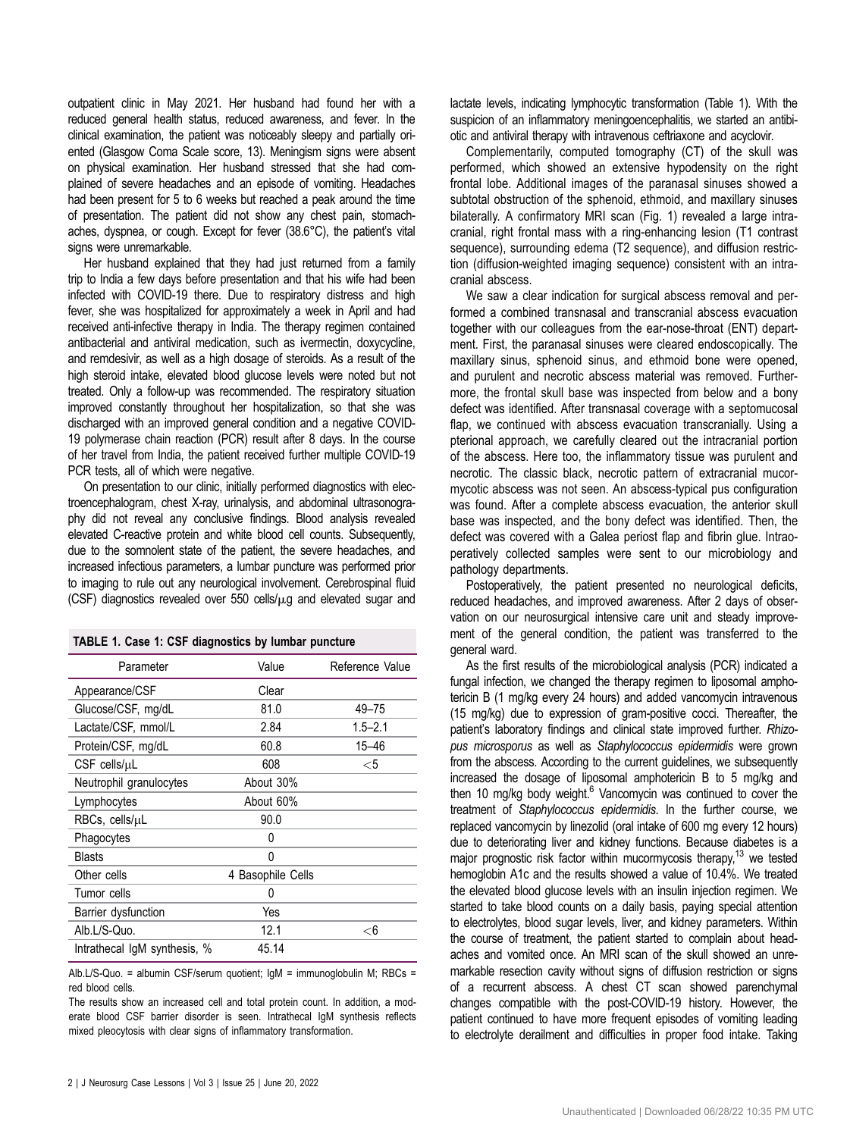outpatient clinic in May 2021. Her husband had found her with a reduced general health status, reduced awareness, and fever. In the clinical examination, the patient was noticeably sleepy and partially oriented (Glasgow Coma Scale score, 13). Meningism signs were absent on physical examination. Her husband stressed that she had complained of severe headaches and an episode of vomiting. Headaches had been present for 5 to 6 weeks but reached a peak around the time of presentation. The patient did not show any chest pain, stomachaches, dyspnea, or cough. Except for fever (38.6°C), the patient's vital signs were unremarkable.

Her husband explained that they had just returned from a family trip to India a few days before presentation and that his wife had been infected with COVID-19 there. Due to respiratory distress and high fever, she was hospitalized for approximately a week in April and had received anti-infective therapy in India. The therapy regimen contained antibacterial and antiviral medication, such as ivermectin, doxycycline, and remdesivir, as well as a high dosage of steroids. As a result of the high steroid intake, elevated blood glucose levels were noted but not treated. Only a follow-up was recommended. The respiratory situation improved constantly throughout her hospitalization, so that she was discharged with an improved general condition and a negative COVID-19 polymerase chain reaction (PCR) result after 8 days. In the course of her travel from India, the patient received further multiple COVID-19 PCR tests, all of which were negative.

On presentation to our clinic, initially performed diagnostics with electroencephalogram, chest X-ray, urinalysis, and abdominal ultrasonography did not reveal any conclusive findings. Blood analysis revealed elevated C-reactive protein and white blood cell counts. Subsequently, due to the somnolent state of the patient, the severe headaches, and increased infectious parameters, a lumbar puncture was performed prior to imaging to rule out any neurological involvement. Cerebrospinal fluid (CSF) diagnostics revealed over 550 cells/ $\mu$ g and elevated sugar and

| Parameter                    | Value                       | Reference Value |
|------------------------------|-----------------------------|-----------------|
| Appearance/CSF               | Clear                       |                 |
| Glucose/CSF, mg/dL           | 81.0                        | 49-75           |
| Lactate/CSF, mmol/L          | 2.84                        | $1.5 - 2.1$     |
| Protein/CSF, mg/dL           | 60.8                        | 15-46           |
| CSF cells/uL                 | 608                         | $<$ 5           |
| Neutrophil granulocytes      | About 30%                   |                 |
| Lymphocytes                  | About 60%                   |                 |
| RBCs, cells/µL               | 90.0                        |                 |
| Phagocytes                   | 0                           |                 |
| <b>Blasts</b>                | 0                           |                 |
| Other cells                  | <b>Basophile Cells</b><br>4 |                 |
| Tumor cells                  | $\mathbf{0}$                |                 |
| Barrier dysfunction          | Yes                         |                 |
| Alb.L/S-Quo.                 | 12.1                        | $<$ 6           |
| Intrathecal IgM synthesis, % | 45.14                       |                 |

Alb.L/S-Quo. = albumin CSF/serum quotient; IgM = immunoglobulin M; RBCs = red blood cells.

The results show an increased cell and total protein count. In addition, a moderate blood CSF barrier disorder is seen. Intrathecal IgM synthesis reflects mixed pleocytosis with clear signs of inflammatory transformation.

lactate levels, indicating lymphocytic transformation (Table 1). With the suspicion of an inflammatory meningoencephalitis, we started an antibiotic and antiviral therapy with intravenous ceftriaxone and acyclovir.

Complementarily, computed tomography (CT) of the skull was performed, which showed an extensive hypodensity on the right frontal lobe. Additional images of the paranasal sinuses showed a subtotal obstruction of the sphenoid, ethmoid, and maxillary sinuses bilaterally. A confirmatory MRI scan ([Fig. 1\)](#page-2-0) revealed a large intracranial, right frontal mass with a ring-enhancing lesion (T1 contrast sequence), surrounding edema (T2 sequence), and diffusion restriction (diffusion-weighted imaging sequence) consistent with an intracranial abscess.

We saw a clear indication for surgical abscess removal and performed a combined transnasal and transcranial abscess evacuation together with our colleagues from the ear-nose-throat (ENT) department. First, the paranasal sinuses were cleared endoscopically. The maxillary sinus, sphenoid sinus, and ethmoid bone were opened, and purulent and necrotic abscess material was removed. Furthermore, the frontal skull base was inspected from below and a bony defect was identified. After transnasal coverage with a septomucosal flap, we continued with abscess evacuation transcranially. Using a pterional approach, we carefully cleared out the intracranial portion of the abscess. Here too, the inflammatory tissue was purulent and necrotic. The classic black, necrotic pattern of extracranial mucormycotic abscess was not seen. An abscess-typical pus configuration was found. After a complete abscess evacuation, the anterior skull base was inspected, and the bony defect was identified. Then, the defect was covered with a Galea periost flap and fibrin glue. Intraoperatively collected samples were sent to our microbiology and pathology departments.

Postoperatively, the patient presented no neurological deficits, reduced headaches, and improved awareness. After 2 days of observation on our neurosurgical intensive care unit and steady improvement of the general condition, the patient was transferred to the general ward.

As the first results of the microbiological analysis (PCR) indicated a fungal infection, we changed the therapy regimen to liposomal amphotericin B (1 mg/kg every 24 hours) and added vancomycin intravenous (15 mg/kg) due to expression of gram-positive cocci. Thereafter, the patient's laboratory findings and clinical state improved further. Rhizopus microsporus as well as Staphylococcus epidermidis were grown from the abscess. According to the current guidelines, we subsequently increased the dosage of liposomal amphotericin B to 5 mg/kg and then 10 mg/kg body weight. $6$  Vancomycin was continued to cover the treatment of Staphylococcus epidermidis. In the further course, we replaced vancomycin by linezolid (oral intake of 600 mg every 12 hours) due to deteriorating liver and kidney functions. Because diabetes is a major prognostic risk factor within mucormycosis therapy,<sup>13</sup> we tested hemoglobin A1c and the results showed a value of 10.4%. We treated the elevated blood glucose levels with an insulin injection regimen. We started to take blood counts on a daily basis, paying special attention to electrolytes, blood sugar levels, liver, and kidney parameters. Within the course of treatment, the patient started to complain about headaches and vomited once. An MRI scan of the skull showed an unremarkable resection cavity without signs of diffusion restriction or signs of a recurrent abscess. A chest CT scan showed parenchymal changes compatible with the post-COVID-19 history. However, the patient continued to have more frequent episodes of vomiting leading to electrolyte derailment and difficulties in proper food intake. Taking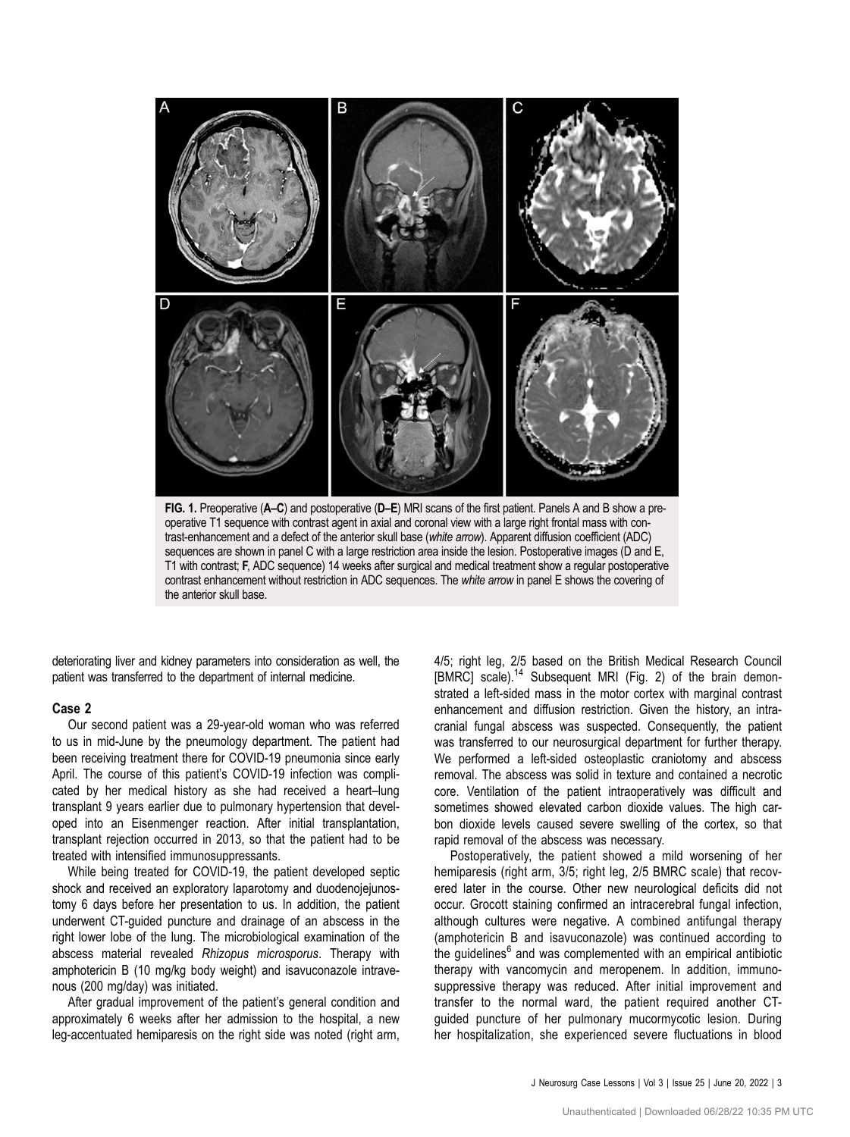<span id="page-2-0"></span>

operative T1 sequence with contrast agent in axial and coronal view with a large right frontal mass with contrast-enhancement and a defect of the anterior skull base (white arrow). Apparent diffusion coefficient (ADC) sequences are shown in panel C with a large restriction area inside the lesion. Postoperative images (D and E, T1 with contrast; F, ADC sequence) 14 weeks after surgical and medical treatment show a regular postoperative contrast enhancement without restriction in ADC sequences. The white arrow in panel E shows the covering of the anterior skull base.

deteriorating liver and kidney parameters into consideration as well, the patient was transferred to the department of internal medicine.

## Case 2

Our second patient was a 29-year-old woman who was referred to us in mid-June by the pneumology department. The patient had been receiving treatment there for COVID-19 pneumonia since early April. The course of this patient's COVID-19 infection was complicated by her medical history as she had received a heart–lung transplant 9 years earlier due to pulmonary hypertension that developed into an Eisenmenger reaction. After initial transplantation, transplant rejection occurred in 2013, so that the patient had to be treated with intensified immunosuppressants.

While being treated for COVID-19, the patient developed septic shock and received an exploratory laparotomy and duodenojejunostomy 6 days before her presentation to us. In addition, the patient underwent CT-guided puncture and drainage of an abscess in the right lower lobe of the lung. The microbiological examination of the abscess material revealed Rhizopus microsporus. Therapy with amphotericin B (10 mg/kg body weight) and isavuconazole intravenous (200 mg/day) was initiated.

After gradual improvement of the patient's general condition and approximately 6 weeks after her admission to the hospital, a new leg-accentuated hemiparesis on the right side was noted (right arm, 4/5; right leg, 2/5 based on the British Medical Research Council [BMRC] scale).<sup>[14](#page-4-0)</sup> Subsequent MRI [\(Fig. 2](#page-3-0)) of the brain demonstrated a left-sided mass in the motor cortex with marginal contrast enhancement and diffusion restriction. Given the history, an intracranial fungal abscess was suspected. Consequently, the patient was transferred to our neurosurgical department for further therapy. We performed a left-sided osteoplastic craniotomy and abscess removal. The abscess was solid in texture and contained a necrotic core. Ventilation of the patient intraoperatively was difficult and sometimes showed elevated carbon dioxide values. The high carbon dioxide levels caused severe swelling of the cortex, so that rapid removal of the abscess was necessary.

Postoperatively, the patient showed a mild worsening of her hemiparesis (right arm, 3/5; right leg, 2/5 BMRC scale) that recovered later in the course. Other new neurological deficits did not occur. Grocott staining confirmed an intracerebral fungal infection, although cultures were negative. A combined antifungal therapy (amphotericin B and isavuconazole) was continued according to the guidelines $<sup>6</sup>$  $<sup>6</sup>$  $<sup>6</sup>$  and was complemented with an empirical antibiotic</sup> therapy with vancomycin and meropenem. In addition, immunosuppressive therapy was reduced. After initial improvement and transfer to the normal ward, the patient required another CTguided puncture of her pulmonary mucormycotic lesion. During her hospitalization, she experienced severe fluctuations in blood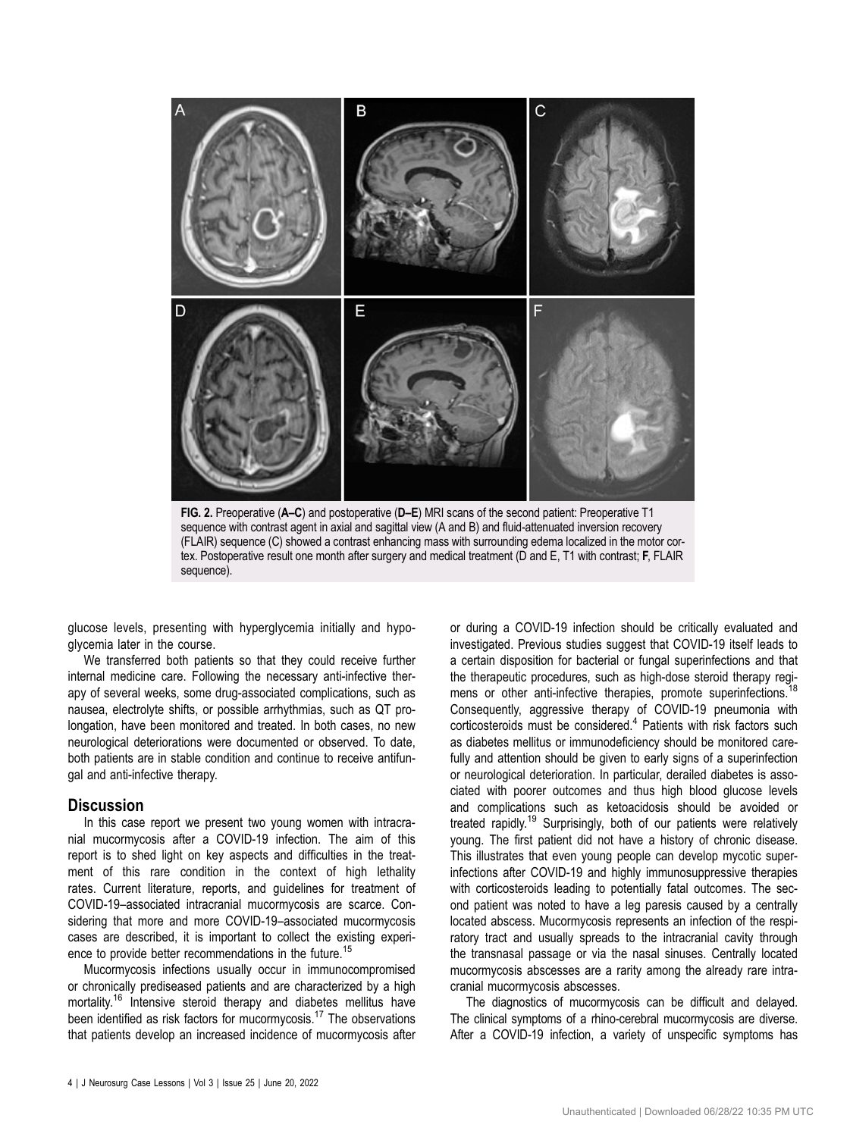<span id="page-3-0"></span>

sequence).

glucose levels, presenting with hyperglycemia initially and hypoglycemia later in the course.

We transferred both patients so that they could receive further internal medicine care. Following the necessary anti-infective therapy of several weeks, some drug-associated complications, such as nausea, electrolyte shifts, or possible arrhythmias, such as QT prolongation, have been monitored and treated. In both cases, no new neurological deteriorations were documented or observed. To date, both patients are in stable condition and continue to receive antifungal and anti-infective therapy.

## **Discussion**

In this case report we present two young women with intracranial mucormycosis after a COVID-19 infection. The aim of this report is to shed light on key aspects and difficulties in the treatment of this rare condition in the context of high lethality rates. Current literature, reports, and guidelines for treatment of COVID-19–associated intracranial mucormycosis are scarce. Considering that more and more COVID-19–associated mucormycosis cases are described, it is important to collect the existing experi-ence to provide better recommendations in the future.<sup>[15](#page-4-0)</sup>

Mucormycosis infections usually occur in immunocompromised or chronically prediseased patients and are characterized by a high mortality.<sup>[16](#page-4-0)</sup> Intensive steroid therapy and diabetes mellitus have been identified as risk factors for mucormycosis.<sup>17</sup> The observations that patients develop an increased incidence of mucormycosis after or during a COVID-19 infection should be critically evaluated and investigated. Previous studies suggest that COVID-19 itself leads to a certain disposition for bacterial or fungal superinfections and that the therapeutic procedures, such as high-dose steroid therapy regi-mens or other anti-infective therapies, promote superinfections.<sup>[18](#page-4-0)</sup> Consequently, aggressive therapy of COVID-19 pneumonia with corticosteroids must be considered.<sup>[4](#page-4-0)</sup> Patients with risk factors such as diabetes mellitus or immunodeficiency should be monitored carefully and attention should be given to early signs of a superinfection or neurological deterioration. In particular, derailed diabetes is associated with poorer outcomes and thus high blood glucose levels and complications such as ketoacidosis should be avoided or treated rapidly.<sup>[19](#page-5-0)</sup> Surprisingly, both of our patients were relatively young. The first patient did not have a history of chronic disease. This illustrates that even young people can develop mycotic superinfections after COVID-19 and highly immunosuppressive therapies with corticosteroids leading to potentially fatal outcomes. The second patient was noted to have a leg paresis caused by a centrally located abscess. Mucormycosis represents an infection of the respiratory tract and usually spreads to the intracranial cavity through the transnasal passage or via the nasal sinuses. Centrally located mucormycosis abscesses are a rarity among the already rare intracranial mucormycosis abscesses.

The diagnostics of mucormycosis can be difficult and delayed. The clinical symptoms of a rhino-cerebral mucormycosis are diverse. After a COVID-19 infection, a variety of unspecific symptoms has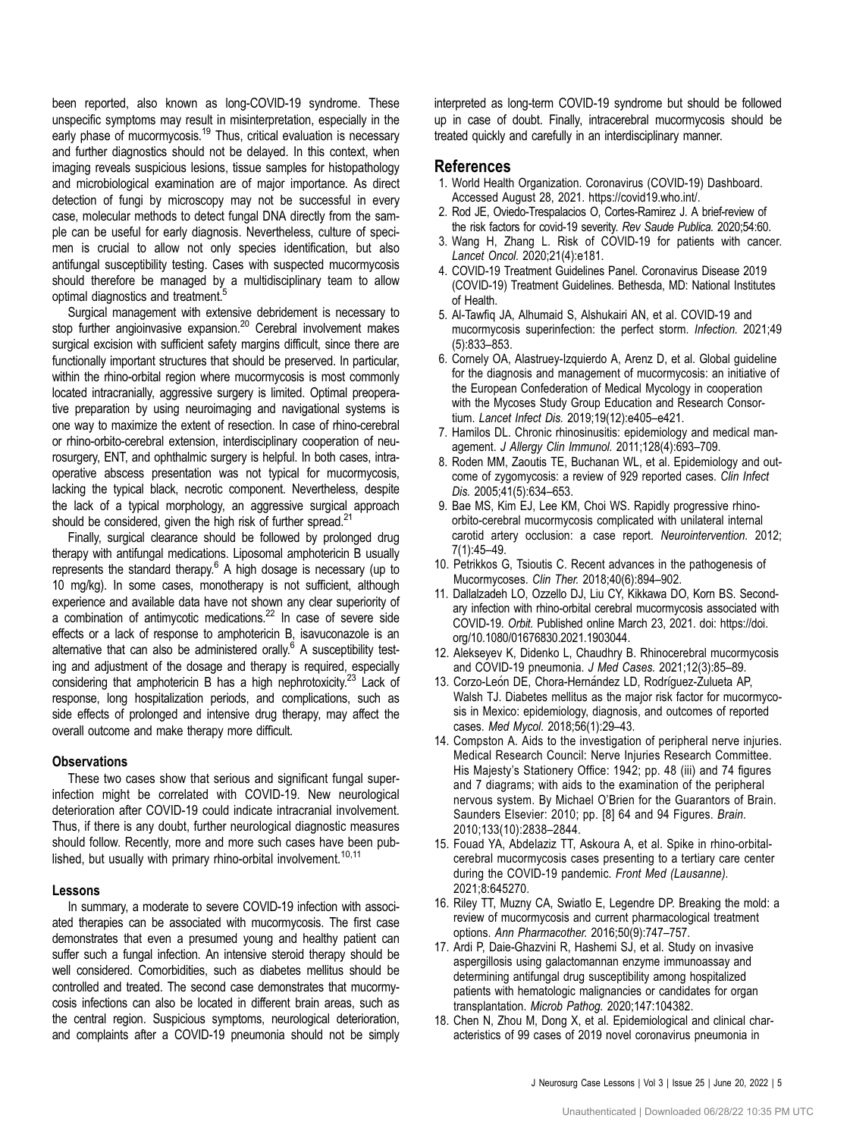<span id="page-4-0"></span>been reported, also known as long-COVID-19 syndrome. These unspecific symptoms may result in misinterpretation, especially in the early phase of mucormycosis.<sup>[19](#page-5-0)</sup> Thus, critical evaluation is necessary and further diagnostics should not be delayed. In this context, when imaging reveals suspicious lesions, tissue samples for histopathology and microbiological examination are of major importance. As direct detection of fungi by microscopy may not be successful in every case, molecular methods to detect fungal DNA directly from the sample can be useful for early diagnosis. Nevertheless, culture of specimen is crucial to allow not only species identification, but also antifungal susceptibility testing. Cases with suspected mucormycosis should therefore be managed by a multidisciplinary team to allow optimal diagnostics and treatment.<sup>5</sup>

Surgical management with extensive debridement is necessary to stop further angioinvasive expansion.<sup>20</sup> Cerebral involvement makes surgical excision with sufficient safety margins difficult, since there are functionally important structures that should be preserved. In particular, within the rhino-orbital region where mucormycosis is most commonly located intracranially, aggressive surgery is limited. Optimal preoperative preparation by using neuroimaging and navigational systems is one way to maximize the extent of resection. In case of rhino-cerebral or rhino-orbito-cerebral extension, interdisciplinary cooperation of neurosurgery, ENT, and ophthalmic surgery is helpful. In both cases, intraoperative abscess presentation was not typical for mucormycosis, lacking the typical black, necrotic component. Nevertheless, despite the lack of a typical morphology, an aggressive surgical approach should be considered, given the high risk of further spread. $21$ 

Finally, surgical clearance should be followed by prolonged drug therapy with antifungal medications. Liposomal amphotericin B usually represents the standard therapy.<sup>6</sup> A high dosage is necessary (up to 10 mg/kg). In some cases, monotherapy is not sufficient, although experience and available data have not shown any clear superiority of a combination of antimycotic medications.[22](#page-5-0) In case of severe side effects or a lack of response to amphotericin B, isavuconazole is an alternative that can also be administered orally. $6$  A susceptibility testing and adjustment of the dosage and therapy is required, especially considering that amphotericin B has a high nephrotoxicity.<sup>23</sup> Lack of response, long hospitalization periods, and complications, such as side effects of prolonged and intensive drug therapy, may affect the overall outcome and make therapy more difficult.

#### **Observations**

These two cases show that serious and significant fungal superinfection might be correlated with COVID-19. New neurological deterioration after COVID-19 could indicate intracranial involvement. Thus, if there is any doubt, further neurological diagnostic measures should follow. Recently, more and more such cases have been published, but usually with primary rhino-orbital involvement.<sup>10,11</sup>

#### Lessons

In summary, a moderate to severe COVID-19 infection with associated therapies can be associated with mucormycosis. The first case demonstrates that even a presumed young and healthy patient can suffer such a fungal infection. An intensive steroid therapy should be well considered. Comorbidities, such as diabetes mellitus should be controlled and treated. The second case demonstrates that mucormycosis infections can also be located in different brain areas, such as the central region. Suspicious symptoms, neurological deterioration, and complaints after a COVID-19 pneumonia should not be simply interpreted as long-term COVID-19 syndrome but should be followed up in case of doubt. Finally, intracerebral mucormycosis should be treated quickly and carefully in an interdisciplinary manner.

## References

- 1. World Health Organization. Coronavirus (COVID-19) Dashboard. Accessed August 28, 2021.<https://covid19.who.int/>.
- 2. Rod JE, Oviedo-Trespalacios O, Cortes-Ramirez J. A brief-review of the risk factors for covid-19 severity. Rev Saude Publica. 2020;54:60.
- 3. Wang H, Zhang L. Risk of COVID-19 for patients with cancer. Lancet Oncol. 2020;21(4):e181.
- 4. COVID-19 Treatment Guidelines Panel. Coronavirus Disease 2019 (COVID-19) Treatment Guidelines. Bethesda, MD: National Institutes of Health.
- 5. Al-Tawfiq JA, Alhumaid S, Alshukairi AN, et al. COVID-19 and mucormycosis superinfection: the perfect storm. Infection. 2021;49 (5):833–853.
- 6. Cornely OA, Alastruey-Izquierdo A, Arenz D, et al. Global guideline for the diagnosis and management of mucormycosis: an initiative of the European Confederation of Medical Mycology in cooperation with the Mycoses Study Group Education and Research Consortium. Lancet Infect Dis. 2019;19(12):e405–e421.
- 7. Hamilos DL. Chronic rhinosinusitis: epidemiology and medical management. J Allergy Clin Immunol. 2011;128(4):693–709.
- 8. Roden MM, Zaoutis TE, Buchanan WL, et al. Epidemiology and outcome of zygomycosis: a review of 929 reported cases. Clin Infect Dis. 2005;41(5):634–653.
- 9. Bae MS, Kim EJ, Lee KM, Choi WS. Rapidly progressive rhinoorbito-cerebral mucormycosis complicated with unilateral internal carotid artery occlusion: a case report. Neurointervention. 2012; 7(1):45–49.
- 10. Petrikkos G, Tsioutis C. Recent advances in the pathogenesis of Mucormycoses. Clin Ther. 2018;40(6):894–902.
- 11. Dallalzadeh LO, Ozzello DJ, Liu CY, Kikkawa DO, Korn BS. Secondary infection with rhino-orbital cerebral mucormycosis associated with COVID-19. Orbit. Published online March 23, 2021. doi: [https://doi.](https://doi.org/10.1080/01676830.2021.1903044) [org/10.1080/01676830.2021.1903044.](https://doi.org/10.1080/01676830.2021.1903044)
- 12. Alekseyev K, Didenko L, Chaudhry B. Rhinocerebral mucormycosis and COVID-19 pneumonia. J Med Cases. 2021;12(3):85–89.
- 13. Corzo-León DE, Chora-Hernández LD, Rodríguez-Zulueta AP, Walsh TJ. Diabetes mellitus as the major risk factor for mucormycosis in Mexico: epidemiology, diagnosis, and outcomes of reported cases. Med Mycol. 2018;56(1):29–43.
- 14. Compston A. Aids to the investigation of peripheral nerve injuries. Medical Research Council: Nerve Injuries Research Committee. His Majesty's Stationery Office: 1942; pp. 48 (iii) and 74 figures and 7 diagrams; with aids to the examination of the peripheral nervous system. By Michael O'Brien for the Guarantors of Brain. Saunders Elsevier: 2010; pp. [8] 64 and 94 Figures. Brain. 2010;133(10):2838–2844.
- 15. Fouad YA, Abdelaziz TT, Askoura A, et al. Spike in rhino-orbitalcerebral mucormycosis cases presenting to a tertiary care center during the COVID-19 pandemic. Front Med (Lausanne). 2021;8:645270.
- 16. Riley TT, Muzny CA, Swiatlo E, Legendre DP. Breaking the mold: a review of mucormycosis and current pharmacological treatment options. Ann Pharmacother. 2016;50(9):747–757.
- 17. Ardi P, Daie-Ghazvini R, Hashemi SJ, et al. Study on invasive aspergillosis using galactomannan enzyme immunoassay and determining antifungal drug susceptibility among hospitalized patients with hematologic malignancies or candidates for organ transplantation. Microb Pathog. 2020;147:104382.
- 18. Chen N, Zhou M, Dong X, et al. Epidemiological and clinical characteristics of 99 cases of 2019 novel coronavirus pneumonia in